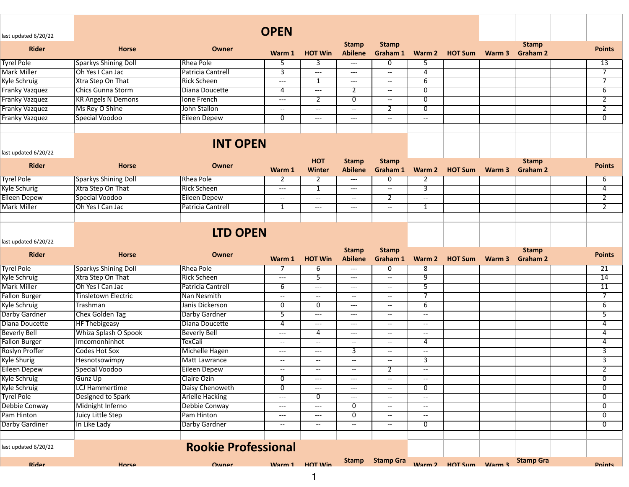| last updated 6/20/22                 |                             |                                 | <b>OPEN</b>                                          |                                          |                                               |                                           |                                                      |                |        |                                 |                     |
|--------------------------------------|-----------------------------|---------------------------------|------------------------------------------------------|------------------------------------------|-----------------------------------------------|-------------------------------------------|------------------------------------------------------|----------------|--------|---------------------------------|---------------------|
| <b>Rider</b>                         | <b>Horse</b>                | Owner                           | Warm 1                                               | <b>HOT Win</b>                           | <b>Stamp</b><br><b>Abilene</b>                | <b>Stamp</b><br>Graham 1                  | Warm 2                                               | <b>HOT Sum</b> | Warm 3 | <b>Stamp</b><br><b>Graham 2</b> | <b>Points</b>       |
| <b>Tyrel Pole</b>                    | <b>Sparkys Shining Doll</b> | Rhea Pole                       | 5                                                    | 3                                        | ---                                           | 0                                         | 5                                                    |                |        |                                 | 13                  |
| <b>Mark Miller</b>                   | Oh Yes I Can Jac            | Patricia Cantrell               | 3                                                    | ---                                      | $---$                                         | $\overline{\phantom{a}}$                  | $\overline{4}$                                       |                |        |                                 | $\overline{\tau}$   |
| Kyle Schruig                         | Xtra Step On That           | <b>Rick Scheen</b>              | $---$                                                | 1                                        | $\qquad \qquad -\qquad -$                     | $\overline{\phantom{a}}$                  | $\overline{6}$                                       |                |        |                                 | $\overline{\tau}$   |
| <b>Franky Vazquez</b>                | <b>Chics Gunna Storm</b>    | Diana Doucette                  | 4                                                    | ---                                      | $\overline{2}$                                | $\overline{\phantom{a}}$                  | $\overline{0}$                                       |                |        |                                 | $6\overline{6}$     |
| Franky Vazquez                       | <b>KR Angels N Demons</b>   | Ione French                     | $---$                                                | $\overline{2}$                           | 0                                             | $\overline{\phantom{a}}$                  | 0                                                    |                |        |                                 | $\overline{2}$      |
| <b>Franky Vazquez</b>                | Ms Rey O Shine              | John Stallon                    | $\overline{\phantom{a}}$                             | $- -$                                    | $- -$                                         | 2                                         | $\overline{0}$                                       |                |        |                                 | $\overline{2}$      |
| <b>Franky Vazquez</b>                | <b>Special Voodoo</b>       | <b>Eileen Depew</b>             | $\overline{0}$                                       | ---                                      | $\hspace{0.05cm} \ldots \hspace{0.05cm}$      | $\overline{\phantom{a}}$                  | $\overline{\phantom{a}}$                             |                |        |                                 | $\overline{0}$      |
| last updated 6/20/22<br><b>Rider</b> | <b>Horse</b>                | <b>INT OPEN</b><br><b>Owner</b> | Warm 1                                               | <b>HOT</b><br><b>Winter</b>              | <b>Stamp</b><br><b>Abilene</b>                | <b>Stamp</b><br>Graham 1                  | Warm 2                                               | <b>HOT Sum</b> | Warm 3 | <b>Stamp</b><br><b>Graham 2</b> | <b>Points</b>       |
| <b>Tyrel Pole</b>                    | <b>Sparkys Shining Doll</b> | Rhea Pole                       | 2                                                    | 2                                        | $\hspace{0.05cm}---\hspace{0.05cm}$           | 0                                         | 2                                                    |                |        |                                 | 6                   |
| <b>Kyle Schurig</b>                  | Xtra Step On That           | <b>Rick Scheen</b>              | $\qquad \qquad - -$                                  | 1                                        | $\scriptstyle\cdots$                          | $\overline{\phantom{a}}$                  | 3                                                    |                |        |                                 | $\overline{4}$      |
| <b>Eileen Depew</b>                  | Special Voodoo              | <b>Eileen Depew</b>             | $\overline{\phantom{a}}$                             | $\overline{\phantom{a}}$                 | $\hspace{0.05cm} \dashrightarrow$             | $\overline{2}$                            | $\overline{\phantom{a}}$                             |                |        |                                 | $\overline{2}$      |
| <b>Mark Miller</b>                   | Oh Yes I Can Jac            | Patricia Cantrell               | 1                                                    | ---                                      | $\hspace{0.05cm}---$                          | $\overline{\phantom{a}}$                  | $\mathbf{1}$                                         |                |        |                                 | $\overline{2}$      |
|                                      |                             |                                 |                                                      |                                          |                                               |                                           |                                                      |                |        |                                 |                     |
| last updated 6/20/22                 |                             | <b>LTD OPEN</b>                 |                                                      |                                          |                                               |                                           |                                                      |                |        |                                 |                     |
|                                      |                             |                                 |                                                      |                                          |                                               |                                           |                                                      |                |        |                                 |                     |
| <b>Rider</b>                         | <b>Horse</b>                | Owner                           | Warm 1                                               | <b>HOT Win</b>                           | <b>Stamp</b><br><b>Abilene</b>                | <b>Stamp</b><br>Graham 1                  | Warm 2                                               | <b>HOT Sum</b> | Warm 3 | <b>Stamp</b><br><b>Graham 2</b> | <b>Points</b>       |
| <b>Tyrel Pole</b>                    | <b>Sparkys Shining Doll</b> | Rhea Pole                       | -7                                                   | 6                                        | $---$                                         | 0                                         | 8                                                    |                |        |                                 | $\overline{21}$     |
| Kyle Schruig                         | Xtra Step On That           | <b>Rick Scheen</b>              | $\hspace{0.05cm}---\hspace{0.05cm}$                  | $\overline{5}$                           | $\hspace{0.05cm} \ldots \hspace{0.05cm}$      | $\overline{\phantom{a}}$                  | 9                                                    |                |        |                                 | 14                  |
| Mark Miller                          | Oh Yes I Can Jac            | Patricia Cantrell               | 6                                                    | ---                                      | $---$                                         | $\overline{\phantom{a}}$                  | 5                                                    |                |        |                                 | 11                  |
|                                      | <b>Tinsletown Electric</b>  | Nan Nesmith                     | $\overline{\phantom{a}}$                             | $\overline{\phantom{a}}$                 | $\hspace{0.05cm} \ldots$                      | $\overline{\phantom{a}}$                  | $\overline{7}$                                       |                |        |                                 | $\overline{7}$      |
| <b>Fallon Burger</b>                 | <b>Trashman</b>             | Janis Dickerson                 | $\overline{0}$                                       | $\overline{0}$                           | $\hspace{0.05cm}---\hspace{0.05cm}$           | $\overline{\phantom{a}}$                  | 6                                                    |                |        |                                 | $\overline{6}$      |
| Kyle Schruig                         |                             |                                 | 5                                                    | ---                                      | $\hspace{0.05cm} \ldots \hspace{0.05cm}$      | --                                        | $\overline{\phantom{a}}$                             |                |        |                                 | 5                   |
| Darby Gardner                        | <b>Chex Golden Tag</b>      | Darby Gardner                   | 4                                                    | ---                                      | $---$                                         | $\overline{\phantom{a}}$                  | $\overline{\phantom{a}}$                             |                |        |                                 | 4                   |
| Diana Doucette                       | <b>HF Thebigeasy</b>        | Diana Doucette                  | $\hspace{0.05cm}---\hspace{0.05cm}$                  | 4                                        | $---$                                         | $\overline{\phantom{a}}$                  | $\overline{\phantom{a}}$                             |                |        |                                 |                     |
| <b>Beverly Bell</b>                  | Whiza Splash O Spook        | <b>Beverly Bell</b>             | $\overline{\phantom{a}}$                             | $\overline{\phantom{m}}$                 | $\hspace{0.05cm} \dashrightarrow$             | $\overline{\phantom{a}}$                  | $\overline{4}$                                       |                |        |                                 | 4<br>$\overline{4}$ |
| <b>Fallon Burger</b>                 | Imcomonhinhot               | <b>TexCali</b>                  | $---$                                                | ---                                      |                                               | $\overline{\phantom{a}}$                  | $\overline{\phantom{a}}$                             |                |        |                                 |                     |
| Roslyn Proffer                       | <b>Codes Hot Sox</b>        | <b>Michelle Hagen</b>           |                                                      | $- -$                                    | $\overline{3}$                                |                                           |                                                      |                |        |                                 | $\overline{3}$      |
| <b>Kyle Shurig</b>                   | Hesnotsowimpy               | Matt Lawrance                   | $\overline{\phantom{a}}$<br>$\overline{\phantom{a}}$ |                                          | $\mathord{\hspace{1pt}\text{--}\hspace{1pt}}$ | $\overline{\phantom{a}}$<br>$\mathcal{P}$ | 3                                                    |                |        |                                 | 3                   |
| <b>Eileen Depew</b>                  | Special Voodoo              | <b>Eileen Depew</b>             |                                                      | $\hspace{0.05cm}---\hspace{0.05cm}$      | $---$                                         |                                           | $\overline{\phantom{a}}$<br>$\overline{\phantom{a}}$ |                |        |                                 | $\overline{2}$      |
| Kyle Schruig                         | Gunz Up                     | Claire Ozin                     | 0                                                    |                                          |                                               | $\overline{\phantom{a}}$                  |                                                      |                |        |                                 | $\overline{0}$      |
| Kyle Schruig                         | <b>LCJ Hammertime</b>       | Daisy Chenoweth                 | 0                                                    | ---                                      | $\hspace{0.05cm} \ldots \hspace{0.05cm}$      | $\overline{\phantom{a}}$                  | 0                                                    |                |        |                                 | 0                   |
| <b>Tyrel Pole</b>                    | Designed to Spark           | <b>Arielle Hacking</b>          | $\qquad \qquad - -$                                  | 0                                        | $\hspace{0.05cm} \ldots \hspace{0.05cm}$      | $\overline{\phantom{a}}$                  | $\hspace{0.05cm} \dashv$                             |                |        |                                 | 0                   |
| Debbie Conway                        | Midnight Inferno            | Debbie Conway                   | $\hspace{0.05cm}---\hspace{0.05cm}$                  | ---                                      | 0                                             | $\overline{\phantom{a}}$                  | $\overline{\phantom{a}}$                             |                |        |                                 | 0                   |
| Pam Hinton                           | Juicy Little Step           | Pam Hinton                      | $\qquad \qquad - -$                                  | $\hspace{0.05cm} \ldots \hspace{0.05cm}$ | $\overline{0}$                                | $\hspace{0.05cm} \dashrightarrow$         | $\mathord{\hspace{1pt}\text{--}\hspace{1pt}}$        |                |        |                                 | $\overline{0}$      |
| Darby Gardiner                       | In Like Lady                | Darby Gardner                   | $\hspace{0.05cm} \dashrightarrow$                    | $\overline{\phantom{a}}$                 | $\hspace{0.05cm} \dashrightarrow$             | $\overline{\phantom{a}}$                  | $\overline{0}$                                       |                |        |                                 | $\overline{0}$      |
| last updated 6/20/22                 |                             | <b>Rookie Professional</b>      |                                                      |                                          | <b>Stamp</b>                                  | <b>Stamp Gra</b>                          |                                                      |                |        | <b>Stamp Gra</b>                |                     |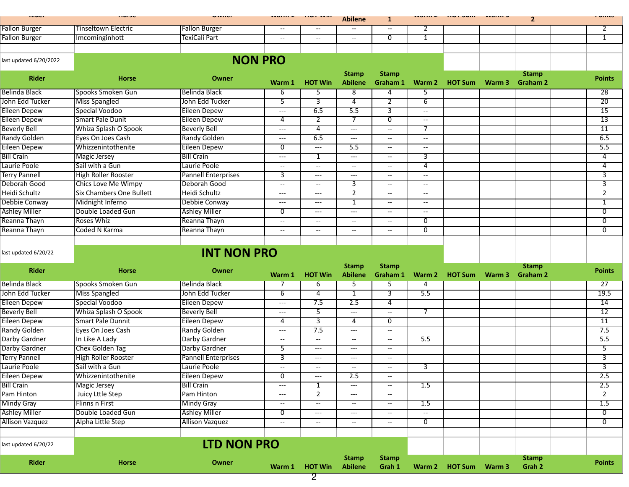| <b>STATISTICS</b>      | .                               |                            | .                                        | $\cdots$                                 | <b>Abilene</b>                    | 1                                                   | .                                                   | $\cdots$ $\cdots$     | <b>TEMPLES</b> | $\mathbf{2}$                    | i viite         |
|------------------------|---------------------------------|----------------------------|------------------------------------------|------------------------------------------|-----------------------------------|-----------------------------------------------------|-----------------------------------------------------|-----------------------|----------------|---------------------------------|-----------------|
| <b>Fallon Burger</b>   | Tinseltown Electric             | <b>Fallon Burger</b>       | $\overline{\phantom{a}}$                 | $\overline{\phantom{a}}$                 | --                                | $\overline{\phantom{a}}$                            | 2                                                   |                       |                |                                 | 2               |
| <b>Fallon Burger</b>   | Imcominginhott                  | TexiCali Part              | --                                       | $\overline{\phantom{a}}$                 | $\overline{\phantom{a}}$          | $\mathbf 0$                                         | 1                                                   |                       |                |                                 | $\mathbf{1}$    |
|                        |                                 |                            |                                          |                                          |                                   |                                                     |                                                     |                       |                |                                 |                 |
| last updated 6/20/2022 |                                 | <b>NON PRO</b>             |                                          |                                          |                                   |                                                     |                                                     |                       |                |                                 |                 |
| <b>Rider</b>           | <b>Horse</b>                    | Owner                      | Warm 1                                   | <b>HOT Win</b>                           | <b>Stamp</b><br><b>Abilene</b>    | <b>Stamp</b><br>Graham 1                            | Warm 2                                              | <b>HOT Sum</b>        | Warm 3         | <b>Stamp</b><br><b>Graham 2</b> | <b>Points</b>   |
| <b>Belinda Black</b>   | Spooks Smoken Gun               | <b>Belinda Black</b>       | 6                                        | 5                                        | $\overline{8}$                    | 4                                                   | 5                                                   |                       |                |                                 | $\overline{28}$ |
| John Edd Tucker        | <b>Miss Spangled</b>            | John Edd Tucker            | $\overline{5}$                           | $\overline{3}$                           | $\overline{4}$                    | $\overline{2}$                                      | $6\overline{}$                                      |                       |                |                                 | $\overline{20}$ |
| <b>Eileen Depew</b>    | Special Voodoo                  | Eileen Depew               | $---$                                    | 6.5                                      | 5.5                               | 3                                                   | $\overline{\phantom{a}}$                            |                       |                |                                 | $\overline{15}$ |
| <b>Eileen Depew</b>    | <b>Smart Pale Dunit</b>         | <b>Eileen Depew</b>        | 4                                        | $\overline{2}$                           | $\overline{7}$                    | $\overline{0}$                                      | $\overline{\phantom{a}}$                            |                       |                |                                 | $\overline{13}$ |
| <b>Beverly Bell</b>    | Whiza Splash O Spook            | <b>Beverly Bell</b>        | $\hspace{0.05cm}---$                     | $\overline{4}$                           | $---$                             | $\overline{\phantom{a}}$                            | 7                                                   |                       |                |                                 | $\overline{11}$ |
| <b>Randy Golden</b>    | Eyes On Joes Cash               | <b>Randy Golden</b>        | $\hspace{0.05cm}---\hspace{0.05cm}$      | 6.5                                      | $---$                             | $\overline{\phantom{a}}$                            | --                                                  |                       |                |                                 | 6.5             |
| <b>Eileen Depew</b>    | Whizzenintothenite              | <b>Eileen Depew</b>        | 0                                        | $\scriptstyle{\cdots}$                   | 5.5                               | $\overline{\phantom{a}}$                            | $\overline{\phantom{a}}$                            |                       |                |                                 | 5.5             |
| <b>Bill Crain</b>      | Magic Jersey                    | <b>Bill Crain</b>          | $---$                                    | 1                                        | $---$                             | $-$                                                 | 3                                                   |                       |                |                                 | 4               |
| Laurie Poole           | Sail with a Gun                 | Laurie Poole               | $\overline{a}$                           | $\overline{\phantom{a}}$                 | $\overline{\phantom{a}}$          | $\overline{a}$                                      | 4                                                   |                       |                |                                 | 4               |
| <b>Terry Pannell</b>   | <b>High Roller Rooster</b>      | <b>Pannell Enterprises</b> | 3                                        | $\hspace{0.05cm} \ldots \hspace{0.05cm}$ | $---$                             | $\overline{\phantom{a}}$                            | $- -$                                               |                       |                |                                 | 3               |
| Deborah Good           | <b>Chics Love Me Wimpy</b>      | Deborah Good               | $\overline{\phantom{a}}$                 | $\overline{\phantom{a}}$                 | 3                                 | $\hspace{0.05cm} -\hspace{0.05cm} -\hspace{0.05cm}$ | $- -$                                               |                       |                |                                 | $\overline{3}$  |
| Heidi Schultz          | <b>Six Chambers One Bullett</b> | Heidi Schultz              | $\hspace{0.05cm} \ldots$                 | $\hspace{0.05cm} \ldots \hspace{0.05cm}$ | $\overline{2}$                    | $\overline{\phantom{a}}$                            | $\overline{\phantom{a}}$                            |                       |                |                                 | $\overline{2}$  |
| Debbie Conway          | Midnight Inferno                | Debbie Conway              | $\hspace{0.05cm}---\hspace{0.05cm}$      | ---                                      | $\mathbf{1}$                      | $\overline{\phantom{a}}$                            | --                                                  |                       |                |                                 | $\mathbf{1}$    |
| <b>Ashley Miller</b>   | Double Loaded Gun               | <b>Ashley Miller</b>       | 0                                        | $---$                                    | $---$                             | $\hspace{0.05cm} -\hspace{0.05cm} -\hspace{0.05cm}$ | $\hspace{0.05cm} -\hspace{0.05cm} -\hspace{0.05cm}$ |                       |                |                                 | $\overline{0}$  |
| Reanna Thayn           | <b>Roses Whiz</b>               | Reanna Thayn               | $\overline{\phantom{a}}$                 | $\overline{\phantom{a}}$                 | $\hspace{0.05cm} \ldots$          | $\overline{\phantom{a}}$                            | $\overline{0}$                                      |                       |                |                                 | $\overline{0}$  |
|                        | Coded N Karma                   |                            |                                          |                                          |                                   |                                                     | 0                                                   |                       |                |                                 | 0               |
| Reanna Thayn           |                                 | Reanna Thayn               | --                                       | $\overline{\phantom{a}}$                 | $\overline{\phantom{a}}$          | $\overline{\phantom{a}}$                            |                                                     |                       |                |                                 |                 |
| last updated 6/20/22   |                                 | <b>INT NON PRO</b>         |                                          |                                          |                                   |                                                     |                                                     |                       |                |                                 |                 |
| <b>Rider</b>           | <b>Horse</b>                    | Owner                      |                                          |                                          | <b>Stamp</b>                      | <b>Stamp</b>                                        |                                                     |                       |                | <b>Stamp</b>                    | <b>Points</b>   |
|                        |                                 |                            | Warm 1                                   | <b>HOT Win</b>                           | <b>Abilene</b>                    | Graham 1                                            | Warm 2                                              | <b>HOT Sum</b>        | Warm 3         | <b>Graham 2</b>                 |                 |
| Belinda Black          | Spooks Smoken Gun               | <b>Belinda Black</b>       |                                          | 6                                        | $\overline{5}$                    | $\overline{5}$                                      | 4                                                   |                       |                |                                 | $\overline{27}$ |
| John Edd Tucker        | <b>Miss Spangled</b>            | John Edd Tucker            | $6\overline{6}$                          | $\overline{4}$                           | $\overline{1}$                    | 3                                                   | 5.5                                                 |                       |                |                                 | 19.5            |
| <b>Eileen Depew</b>    | Special Voodoo                  | <b>Eileen Depew</b>        | $\hspace{0.05cm}---\hspace{0.05cm}$      | 7.5                                      | 2.5                               | $\overline{4}$                                      |                                                     |                       |                |                                 | 14              |
| <b>Beverly Bell</b>    | Whiza Splash O Spook            | <b>Beverly Bell</b>        | $---$                                    | 5                                        | ---                               | $\overline{\phantom{a}}$                            | $\overline{7}$                                      |                       |                |                                 | 12              |
| <b>Eileen Depew</b>    | <b>Smart Pale Dunnit</b>        | <b>Eileen Depew</b>        | 4                                        | 3                                        | 4                                 | $\overline{0}$                                      |                                                     |                       |                |                                 | $\overline{11}$ |
| <b>Randy Golden</b>    | Eyes On Joes Cash               | <b>Randy Golden</b>        | $\hspace{0.05cm}---\hspace{0.05cm}$      | 7.5                                      | $---$                             | $\overline{\phantom{a}}$                            |                                                     |                       |                |                                 | 7.5             |
| Darby Gardner          | In Like A Lady                  | Darby Gardner              | $\overline{\phantom{a}}$                 | $\overline{\phantom{a}}$                 | $\overline{\phantom{a}}$          | $\hspace{0.05cm} \dashrightarrow$                   | 5.5                                                 |                       |                |                                 | 5.5             |
| Darby Gardner          | Chex Golden Tag                 | Darby Gardner              | 5                                        | $\hspace{0.05cm} \ldots \hspace{0.05cm}$ | $---$                             | $\hspace{0.05cm} -\hspace{0.05cm} -\hspace{0.05cm}$ |                                                     |                       |                |                                 | 5               |
| <b>Terry Pannell</b>   | <b>High Roller Rooster</b>      | <b>Pannell Enterprises</b> | 3                                        | $---$                                    | $---$                             | $\overline{\phantom{a}}$                            |                                                     |                       |                |                                 | 3               |
| Laurie Poole           | Sail with a Gun                 | Laurie Poole               | $\hspace{0.05cm} \dashv$                 | $\overline{\phantom{m}}$                 | $\hspace{0.05cm} \dashrightarrow$ | $\overline{\phantom{a}}$                            | 3                                                   |                       |                |                                 | 3               |
| Eileen Depew           | Whizzenintothenite              | <b>Eileen Depew</b>        | 0                                        | $---$                                    | 2.5                               | $\overline{\phantom{a}}$                            |                                                     |                       |                |                                 | 2.5             |
| <b>Bill Crain</b>      | <b>Magic Jersey</b>             | <b>Bill Crain</b>          | $\hspace{0.05cm} \ldots \hspace{0.05cm}$ | 1                                        | $\hspace{1.5cm} \textbf{---}$     | $\hspace{0.05cm} \dashrightarrow$                   | 1.5                                                 |                       |                |                                 | 2.5             |
| Pam Hinton             | Juicy Lttle Step                | Pam Hinton                 | $---$                                    | $\overline{2}$                           | $---$                             | $\overline{\phantom{a}}$                            |                                                     |                       |                |                                 | $\overline{2}$  |
| <b>Mindy Gray</b>      | Flinns n First                  | <b>Mindy Gray</b>          | $\overline{\phantom{m}}$                 | $\overline{\phantom{a}}$                 | $-\!$ $\!-$                       | $\overline{\phantom{a}}$                            | 1.5                                                 |                       |                |                                 | 1.5             |
| <b>Ashley Miller</b>   | Double Loaded Gun               | <b>Ashley Miller</b>       | $\overline{0}$                           | $\scriptstyle{\cdots}$                   | $---$                             | $\overline{\phantom{a}}$                            | $\overline{\phantom{a}}$                            |                       |                |                                 | $\overline{0}$  |
| <b>Allison Vazquez</b> | Alpha Little Step               | <b>Allison Vazquez</b>     | $\hspace{0.05cm} \dashv$                 | $\overline{\phantom{a}}$                 | $\overline{\phantom{a}}$          | $\hspace{0.05cm} \dashrightarrow$                   | 0                                                   |                       |                |                                 | 0               |
|                        |                                 |                            |                                          |                                          |                                   |                                                     |                                                     |                       |                |                                 |                 |
| last updated 6/20/22   |                                 | LTD NON PRO                |                                          |                                          |                                   |                                                     |                                                     |                       |                |                                 |                 |
| Rider                  | <b>Horse</b>                    | Owner                      | Warm 1                                   | <b>HOT Win</b>                           | <b>Stamp</b><br><b>Abilene</b>    | <b>Stamp</b><br>Grah 1                              |                                                     | Warm 2 HOT Sum Warm 3 |                | <b>Stamp</b><br>Grah 2          | <b>Points</b>   |

2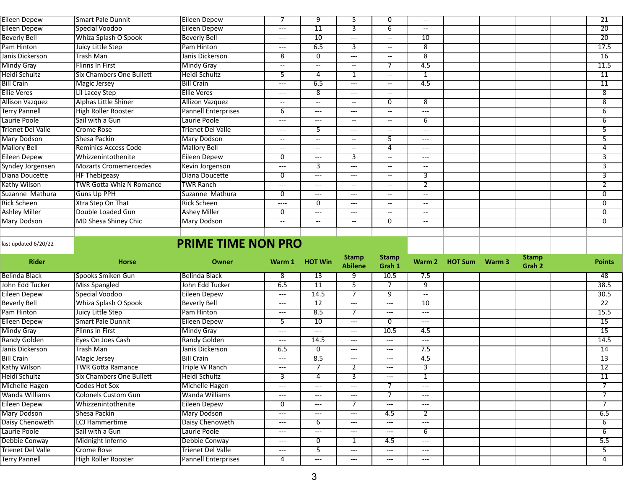| Eileen Depew             | <b>Smart Pale Dunnit</b>        | Eileen Depew               |          | 9               | 5              | 0                                                   | --    |  |  | 21              |
|--------------------------|---------------------------------|----------------------------|----------|-----------------|----------------|-----------------------------------------------------|-------|--|--|-----------------|
| Eileen Depew             | Special Voodoo                  | Eileen Depew               | $---$    | $\overline{11}$ | $\overline{3}$ | 6.                                                  | $- -$ |  |  | $\overline{20}$ |
| <b>Beverly Bell</b>      | Whiza Splash O Spook            | <b>Beverly Bell</b>        | $---$    | 10              | $---$          | $-$                                                 | 10    |  |  | 20              |
| Pam Hinton               | Juicy Little Step               | Pam Hinton                 | $---$    | 6.5             | 3              | $--$                                                | 8     |  |  | 17.5            |
| Janis Dickerson          | <b>Trash Man</b>                | Janis Dickerson            | 8        | 0               | $---$          | $--$                                                | 8     |  |  | 16              |
| <b>Mindy Gray</b>        | <b>Flinns In First</b>          | <b>Mindy Gray</b>          | $--$     | $--$            | $--$           |                                                     | 4.5   |  |  | 11.5            |
| Heidi Schultz            | Six Chambers One Bullett        | Heidi Schultz              | 5        | 4               | 1              | $- -$                                               | -1    |  |  | $\overline{11}$ |
| <b>Bill Crain</b>        | Magic Jersey                    | <b>Bill Crain</b>          | $---$    | 6.5             | $---$          | $--$                                                | 4.5   |  |  | 11              |
| <b>Ellie Veres</b>       | Lil Lacey Step                  | <b>Ellie Veres</b>         | $---$    | $\overline{8}$  | $---$          | $--$                                                |       |  |  | $\overline{8}$  |
| Allison Vazquez          | <b>Alphas Little Shiner</b>     | <b>Allizon Vazquez</b>     | $--$     | $--$            | $--$           | $\Omega$                                            | 8     |  |  | $\overline{8}$  |
| <b>Terry Pannell</b>     | <b>High Roller Rooster</b>      | <b>Pannell Enterprises</b> | h        | ---             | ---            | $--$                                                | ---   |  |  | 6               |
| Laurie Poole             | Sail with a Gun                 | Laurie Poole               | $---$    | ---             | $--$           | $- -$                                               | 6     |  |  | 6               |
| <b>Trienet Del Valle</b> | <b>Crome Rose</b>               | Trienet Del Valle          | $---$    |                 | $---$          | $- -$                                               | $- -$ |  |  | 5               |
| <b>Mary Dodson</b>       | <b>Shesa Packin</b>             | <b>Mary Dodson</b>         | $- -$    | $- -$           | $- -$          | 5                                                   | $---$ |  |  | $\overline{5}$  |
| <b>Mallory Bell</b>      | <b>Reminics Access Code</b>     | <b>Mallory Bell</b>        | $--$     | $--$            | $--$           | $\boldsymbol{\Delta}$                               | $---$ |  |  | $\overline{4}$  |
| Eileen Depew             | Whizzenintothenite              | Eileen Depew               |          | ---             | 3              | $-$                                                 | ---   |  |  | 3               |
| Syndey Jorgensen         | Mozarts Cromemercedes           | Kevin Jorgenson            | $---$    | З               | $---$          | $- -$                                               | $--$  |  |  | 3               |
| Diana Doucette           | <b>HF Thebigeasy</b>            | Diana Doucette             | $\Omega$ | ---             | $---$          | $- -$                                               | 3     |  |  | 3               |
| Kathy Wilson             | <b>TWR Gotta Whiz N Romance</b> | <b>TWR Ranch</b>           | $---$    | ---             | $--$           | $--$                                                |       |  |  | $\overline{2}$  |
| Suzanne Mathura          | <b>Guns Up PPH</b>              | Suzanne Mathura            | $\Omega$ | ---             | $---$          | $- -$                                               | $- -$ |  |  | $\overline{0}$  |
| <b>Rick Scheen</b>       | Xtra Step On That               | <b>Rick Scheen</b>         | $--- -$  | 0               | $---$          | $\hspace{0.05cm} -\hspace{0.05cm} -\hspace{0.05cm}$ | $- -$ |  |  | 0               |
| <b>Ashley Miller</b>     | Double Loaded Gun               | <b>Ashey Miller</b>        | 0        | ---             | $---$          | $- -$                                               | $- -$ |  |  | $\overline{0}$  |
| <b>Mary Dodson</b>       | MD Shesa Shiney Chic            | <b>Mary Dodson</b>         | $--$     | $- -$           | $--$           | $\Omega$                                            | $- -$ |  |  | 0               |
|                          |                                 |                            |          |                 |                |                                                     |       |  |  |                 |
|                          |                                 |                            |          |                 |                |                                                     |       |  |  |                 |

## **PRIME TIME NON PRO**

| <b>Rider</b>             | <b>Horse</b>                    | Owner                      | Warm 1 | <b>HOT Win</b>  | <b>Stamp</b><br><b>Abilene</b> | <b>Stamp</b><br>Grah 1 |                | Warm 2 HOT Sum | Warm 3 | <b>Stamp</b><br>Grah 2 | <b>Points</b>   |
|--------------------------|---------------------------------|----------------------------|--------|-----------------|--------------------------------|------------------------|----------------|----------------|--------|------------------------|-----------------|
| Belinda Black            | Spooks Smiken Gun               | l Belinda Black            | 8      | 13              | 9                              | 10.5                   | 7.5            |                |        |                        | 48              |
| John Edd Tucker          | Miss Spangled                   | John Edd Tucker            | 6.5    | $\overline{11}$ | 5                              |                        | 9              |                |        |                        | 38.5            |
| <b>Eileen Depew</b>      | Special Voodoo                  | <b>Eileen Depew</b>        | $---$  | 14.5            |                                | 9                      | $- -$          |                |        |                        | 30.5            |
| <b>Beverly Bell</b>      | Whiza Splash O Spook            | <b>Beverly Bell</b>        | $---$  | $\overline{12}$ | $---$                          | $---$                  | 10             |                |        |                        | $\overline{22}$ |
| Pam Hinton               | Juicy Little Step               | Pam Hinton                 | $---$  | 8.5             | 7                              | $---$                  | ---            |                |        |                        | 15.5            |
| <b>Eileen Depew</b>      | <b>Smart Pale Dunnit</b>        | Eileen Depew               | 5.     | 10              | $---$                          | 0                      | $---$          |                |        |                        | 15              |
| <b>Mindy Gray</b>        | <b>Flinns in First</b>          | <b>Mindy Gray</b>          | $---$  | $---$           | $---$                          | 10.5                   | 4.5            |                |        |                        | $\overline{15}$ |
| Randy Golden             | Eyes On Joes Cash               | Randy Golden               | $---$  | 14.5            | $---$                          | $---$                  | ---            |                |        |                        | 14.5            |
| Janis Dickerson          | Trash Man                       | Janis Dickerson            | 6.5    | 0               | $---$                          | $---$                  | 7.5            |                |        |                        | 14              |
| <b>Bill Crain</b>        | Magic Jersey                    | <b>Bill Crain</b>          | $---$  | 8.5             | $---$                          | $---$                  | 4.5            |                |        |                        | 13              |
| Kathy Wilson             | <b>TWR Gotta Ramance</b>        | <b>Triple W Ranch</b>      | $---$  |                 | $\overline{2}$                 | $---$                  | $\overline{3}$ |                |        |                        | $\overline{12}$ |
| Heidi Schultz            | <b>Six Chambers One Bullett</b> | <b>Heidi Schultz</b>       | 3      | 4               | $\overline{3}$                 | $---$                  | 1              |                |        |                        | $\overline{11}$ |
| Michelle Hagen           | Codes Hot Sox                   | Michelle Hagen             | $---$  | $---$           | $---$                          |                        | ---            |                |        |                        |                 |
| Wanda Williams           | <b>Colonels Custom Gun</b>      | Wanda Williams             | $---$  | $---$           | $---$                          |                        | $---$          |                |        |                        | $\overline{7}$  |
| Eileen Depew             | Whizzenintothenite              | Eileen Depew               | 0      | $---$           | 7                              | $---$                  | ---            |                |        |                        |                 |
| Mary Dodson              | Shesa Packin                    | Mary Dodson                | $---$  | $---$           | $---$                          | 4.5                    | $\overline{2}$ |                |        |                        | 6.5             |
| Daisy Chenoweth          | LCJ Hammertime                  | Daisy Chenoweth            | $---$  | 6               | $---$                          | $---$                  | ---            |                |        |                        | 6               |
| Laurie Poole             | Sail with a Gun                 | Laurie Poole               | $---$  | $---$           | $---$                          | $---$                  | 6              |                |        |                        | 6               |
| Debbie Conway            | Midnight Inferno                | Debbie Conway              | $---$  | $\overline{0}$  | 1                              | 4.5                    | $---$          |                |        |                        | 5.5             |
| <b>Trienet Del Valle</b> | Crome Rose                      | <b>Trienet Del Valle</b>   | $---$  | $\overline{5}$  | $---$                          | $---$                  | ---            |                |        |                        | 5.              |
| <b>Terry Pannell</b>     | High Roller Rooster             | <b>Pannell Enterprises</b> | 4      | $---$           | ---                            | $---$                  | ---            |                |        |                        | 4               |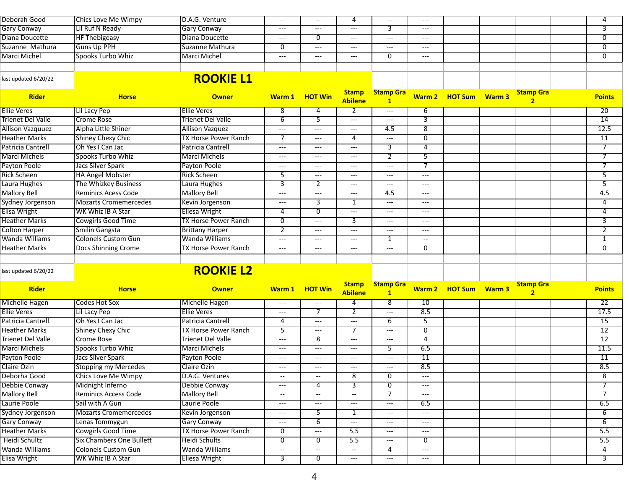| Deborah Good                                         |                                 |                             |                                   |                                                     |                                          |                                          |                                          |                       |                                    |                  |
|------------------------------------------------------|---------------------------------|-----------------------------|-----------------------------------|-----------------------------------------------------|------------------------------------------|------------------------------------------|------------------------------------------|-----------------------|------------------------------------|------------------|
|                                                      | <b>Chics Love Me Wimpy</b>      | D.A.G. Venture              | $\overline{\phantom{a}}$          | --                                                  | 4                                        | $\overline{\phantom{m}}$                 | $\hspace{0.05cm} \ldots$                 |                       |                                    | 4                |
| <b>Gary Conway</b>                                   | Lil Ruf N Ready                 | <b>Gary Conway</b>          | ---                               | ---                                                 | $\hspace{1.5cm} \textbf{---}$            | 3                                        | $---$                                    |                       |                                    | 3                |
| Diana Doucette                                       | <b>HF Thebigeasy</b>            | Diana Doucette              | $---$                             | 0                                                   | $---$                                    | $---$                                    | $---$                                    |                       |                                    | 0                |
| Suzanne Mathura                                      | <b>Guns Up PPH</b>              | Suzanne Mathura             | 0                                 | $---$                                               | $---$                                    | $---$                                    | $---$                                    |                       |                                    | 0                |
| <b>Marci Michel</b>                                  | Spooks Turbo Whiz               | <b>Marci Michel</b>         | ---                               | $---$                                               | $---$                                    | 0                                        | $---$                                    |                       |                                    | $\overline{0}$   |
|                                                      |                                 |                             |                                   |                                                     |                                          |                                          |                                          |                       |                                    |                  |
| last updated 6/20/22                                 |                                 | <b>ROOKIE L1</b>            |                                   |                                                     |                                          |                                          |                                          |                       |                                    |                  |
| <b>Rider</b>                                         | <b>Horse</b>                    | <b>Owner</b>                |                                   | Warm 1 HOT Win                                      | <b>Stamp</b><br><b>Abilene</b>           | <b>Stamp Gra</b><br>$\mathbf{1}$         |                                          | Warm 2 HOT Sum Warm 3 | <b>Stamp Gra</b><br>$\overline{2}$ | <b>Points</b>    |
| <b>Ellie Veres</b>                                   | Lil Lacy Pep                    | <b>Ellie Veres</b>          | 8                                 | 4                                                   | $\overline{2}$                           | $\hspace{0.05cm} \ldots \hspace{0.05cm}$ | 6                                        |                       |                                    | $\overline{20}$  |
| <b>Trienet Del Valle</b>                             | <b>Crome Rose</b>               | <b>Trienet Del Valle</b>    | 6                                 | 5                                                   | $---$                                    | $\qquad \qquad - -$                      | 3                                        |                       |                                    | 14               |
| <b>Allison Vazquuez</b>                              | Alpha Little Shiner             | <b>Allison Vazquez</b>      | ---                               | ---                                                 | $\qquad \qquad -\qquad -$                | 4.5                                      | $\overline{8}$                           |                       |                                    | 12.5             |
| <b>Heather Marks</b>                                 | <b>Shiney Chexy Chic</b>        | <b>TX Horse Power Ranch</b> |                                   | $---$                                               | 4                                        | $\hspace{0.05cm} \ldots$                 | 0                                        |                       |                                    | $\overline{11}$  |
| Patricia Cantrell                                    | Oh Yes I Can Jac                | <b>Patricia Cantrell</b>    | ---                               | ---                                                 | $---$                                    | 3                                        | 4                                        |                       |                                    | $\overline{7}$   |
| <b>Marci Michels</b>                                 | Spooks Turbo Whiz               | Marci Michels               | $---$                             | $---$                                               | $---$                                    | 2                                        | 5                                        |                       |                                    | 7                |
| Payton Poole                                         | <b>Jacs Silver Spark</b>        | Payton Poole                | ---                               | $---$                                               | $---$                                    | $\hspace{0.05cm} \ldots \hspace{0.05cm}$ |                                          |                       |                                    | 7                |
| <b>Rick Scheen</b>                                   | <b>HA Angel Mobster</b>         | <b>Rick Scheen</b>          | $\overline{5}$                    | ---                                                 | $\hspace{0.05cm}---$                     | $\hspace{0.05cm} \ldots \hspace{0.05cm}$ | $---$                                    |                       |                                    | $\overline{5}$   |
| Laura Hughes                                         | The Whizkey Business            | Laura Hughes                | 3                                 | $\overline{2}$                                      | $---$                                    | $---$                                    | $\hspace{0.05cm} \ldots$                 |                       |                                    | $\overline{5}$   |
| <b>Mallory Bell</b>                                  | Reminics Acess Code             | <b>Mallory Bell</b>         | ---                               | ---                                                 | $---$                                    | 4.5                                      | $---$                                    |                       |                                    | 4.5              |
| Sydney Jorgenson                                     | <b>Mozarts Cromemercedes</b>    | Kevin Jorgenson             | ---                               | 3                                                   | 1                                        | $\hspace{0.05cm} \ldots \hspace{0.05cm}$ | $---$                                    |                       |                                    | 4                |
| Elisa Wright                                         | WK Whiz IB A Star               | <b>Eliesa Wright</b>        | $\overline{4}$                    | $\overline{0}$                                      | $\hspace{0.05cm} \ldots \hspace{0.05cm}$ | $---$                                    | $---$                                    |                       |                                    | 4                |
| <b>Heather Marks</b>                                 | Cowgirls Good Time              | <b>TX Horse Power Ranch</b> | $\overline{0}$                    | ---                                                 | 3                                        | $---$                                    | $---$                                    |                       |                                    | $\overline{3}$   |
| <b>Colton Harper</b>                                 | Smilin Gangsta                  | <b>Brittany Harper</b>      | $\overline{2}$                    | $---$                                               | $\hspace{0.05cm}---$                     | $\hspace{0.05cm} \ldots \hspace{0.05cm}$ | $---$                                    |                       |                                    | $\overline{2}$   |
| Wanda Williams                                       | <b>Colonels Custom Gun</b>      | Wanda Williams              | ---                               | ---                                                 | $\hspace{0.05cm}---$                     | $\mathbf{1}$                             | $\overline{\phantom{a}}$                 |                       |                                    | $\mathbf{1}$     |
| <b>Heather Marks</b>                                 | Docs Shinning Crome             | <b>TX Horse Power Ranch</b> | ---                               | $---$                                               | $\hspace{0.05cm}---$                     | $---$                                    | 0                                        |                       |                                    | $\overline{0}$   |
|                                                      |                                 |                             |                                   |                                                     |                                          |                                          |                                          |                       |                                    |                  |
| last updated 6/20/22                                 |                                 | <b>ROOKIE L2</b>            |                                   |                                                     |                                          |                                          |                                          |                       |                                    |                  |
| <b>Rider</b>                                         |                                 |                             |                                   |                                                     |                                          |                                          |                                          |                       |                                    |                  |
|                                                      |                                 |                             |                                   |                                                     | <b>Stamp</b>                             | <b>Stamp Gra</b>                         |                                          |                       | <b>Stamp Gra</b>                   |                  |
|                                                      | <b>Horse</b>                    | <b>Owner</b>                |                                   | Warm 1 HOT Win                                      | <b>Abilene</b>                           | $\mathbf{1}$                             |                                          | Warm 2 HOT Sum Warm 3 | 2 <sup>1</sup>                     | <b>Points</b>    |
|                                                      | <b>Codes Hot Sox</b>            | Michelle Hagen              | ---                               | ---                                                 | 4                                        | 8                                        | 10                                       |                       |                                    | $\overline{22}$  |
| Michelle Hagen<br><b>Ellie Veres</b>                 | Lil Lacy Pep                    | <b>Ellie Veres</b>          | ---                               | 7                                                   | 2                                        | $---$                                    | 8.5                                      |                       |                                    | 17.5             |
| Patricia Cantrell                                    | Oh Yes I Can Jac                | <b>Patricia Cantrell</b>    | 4                                 | ---                                                 | $\hspace{0.05cm}---$                     | 6                                        | 5                                        |                       |                                    | $\overline{15}$  |
| <b>Heather Marks</b>                                 | <b>Shiney Chexy Chic</b>        | <b>TX Horse Power Ranch</b> | $\overline{5}$                    | ---                                                 | $\overline{7}$                           | $\hspace{0.05cm} \ldots \hspace{0.05cm}$ | $\overline{0}$                           |                       |                                    | $\overline{12}$  |
| Trienet Del Valle                                    | <b>Crome Rose</b>               | <b>Trienet Del Valle</b>    | ---                               | 8                                                   | $\qquad \qquad -\qquad -$                | $\hspace{0.05cm} \dashrightarrow$        | 4                                        |                       |                                    | 12               |
| <b>Marci Michels</b>                                 | Spooks Turbo Whiz               | <b>Marci Michels</b>        | ---                               | ---                                                 | $\hspace{0.05cm}---$                     | 5                                        | 6.5                                      |                       |                                    | 11.5             |
| Payton Poole                                         | Jacs Silver Spark               | Payton Poole                | $---$                             | $---$                                               | $---$                                    | $---$                                    | $\overline{11}$                          |                       |                                    | $\overline{11}$  |
| Claire Ozin                                          | <b>Stopping my Mercedes</b>     | Claire Ozin                 | $---$                             | ---                                                 | $---$                                    | $---$                                    | 8.5                                      |                       |                                    | 8.5              |
|                                                      | <b>Chics Love Me Wimpy</b>      | D.A.G. Ventures             | $\overline{\phantom{a}}$          | $\hspace{0.05cm} -\hspace{0.05cm} -\hspace{0.05cm}$ | 8                                        | $\overline{0}$                           | $---$                                    |                       |                                    | $\overline{8}$   |
|                                                      | Midnight Inferno                | Debbie Conway               | ---                               | 4                                                   | 3                                        | $\overline{0}$                           | $\hspace{0.05cm} \ldots \hspace{0.05cm}$ |                       |                                    | $\overline{7}$   |
| Deborha Good<br>Debbie Conway<br><b>Mallory Bell</b> | <b>Reminics Access Code</b>     | <b>Mallory Bell</b>         | $\hspace{0.05cm} \dashrightarrow$ | $\overline{\phantom{a}}$                            | $\overline{\phantom{a}}$                 | 7                                        | $\hspace{0.05cm} \ldots \hspace{0.05cm}$ |                       |                                    | $\overline{7}$   |
| Laurie Poole                                         | Sail with A Gun                 | Laurie Poole                | ---                               | ---                                                 | $\scriptstyle\cdots$                     | $\hspace{0.05cm} \dashrightarrow$        | 6.5                                      |                       |                                    | 6.5              |
| Sydney Jorgenson                                     | <b>Mozarts Cromemercedes</b>    | Kevin Jorgenson             | ---                               | 5                                                   | 1                                        | $\hspace{0.05cm} \dashrightarrow$        | $\hspace{0.05cm} \ldots$                 |                       |                                    | 6                |
| <b>Gary Conway</b>                                   | Lenas Tommygun                  | <b>Gary Conway</b>          | ---                               | 6                                                   | $\hspace{0.05cm} \dashrightarrow$        | $\hspace{0.05cm} \dashrightarrow$        | $\hspace{0.05cm} \ldots \hspace{0.05cm}$ |                       |                                    | 6                |
| <b>Heather Marks</b>                                 | Cowgirls Good Time              | <b>TX Horse Power Ranch</b> | 0                                 | $\qquad \qquad - -$                                 | 5.5                                      | $\hspace{0.05cm} \ldots$                 | $\hspace{0.05cm} \ldots$                 |                       |                                    | $\overline{5.5}$ |
| Heidi Schultz                                        | <b>Six Chambers One Bullett</b> | <b>Heidi Schults</b>        | $\overline{0}$                    | $\overline{0}$                                      | $\overline{5.5}$                         | $\hspace{0.05cm} \dashrightarrow$        | $\overline{0}$                           |                       |                                    | $\overline{5.5}$ |
| Wanda Williams                                       | <b>Colonels Custom Gun</b>      | Wanda Williams              | $\overline{\phantom{a}}$          | $\mathord{\hspace{1pt}\text{--}\hspace{1pt}}$       | $\overline{\phantom{a}}$                 | $\overline{4}$                           | $---$                                    |                       |                                    | $\overline{4}$   |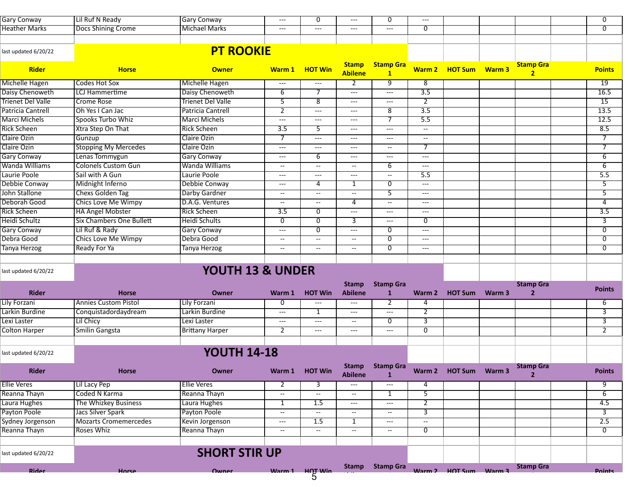| <b>Gary Conway</b>       | Lil Ruf N Ready                 | <b>Gary Conway</b>       | $---$                               | 0                        | $---$                          | $\overline{0}$                           | $\hspace{0.05cm} \ldots \hspace{0.05cm}$ |                       |        |                                    | $\overline{0}$   |
|--------------------------|---------------------------------|--------------------------|-------------------------------------|--------------------------|--------------------------------|------------------------------------------|------------------------------------------|-----------------------|--------|------------------------------------|------------------|
| <b>Heather Marks</b>     | Docs Shining Crome              | <b>Michael Marks</b>     | ---                                 | ---                      | $---$                          | $---$                                    | $\overline{0}$                           |                       |        |                                    | $\overline{0}$   |
|                          |                                 |                          |                                     |                          |                                |                                          |                                          |                       |        |                                    |                  |
| last updated 6/20/22     |                                 | <b>PT ROOKIE</b>         |                                     |                          |                                |                                          |                                          |                       |        |                                    |                  |
|                          |                                 |                          |                                     |                          |                                |                                          |                                          |                       |        |                                    |                  |
| Rider                    | <b>Horse</b>                    | <b>Owner</b>             | Warm 1                              | <b>HOT Win</b>           | <b>Stamp</b><br><b>Abilene</b> | <b>Stamp Gra</b><br>$\mathbf{1}$         |                                          | Warm 2 HOT Sum Warm 3 |        | <b>Stamp Gra</b><br>2 <sup>1</sup> | <b>Points</b>    |
| <b>Michelle Hagen</b>    | <b>Codes Hot Sox</b>            | Michelle Hagen           | $\hspace{0.05cm}---\hspace{0.05cm}$ | $---$                    | $\overline{2}$                 | 9                                        | 8                                        |                       |        |                                    | $\overline{19}$  |
| Daisy Chenoweth          | <b>LCJ</b> Hammertime           | Daisy Chenoweth          | $\overline{6}$                      | $\overline{\tau}$        | $---$                          | $\hspace{0.05cm} \ldots \hspace{0.05cm}$ | $\overline{3.5}$                         |                       |        |                                    | 16.5             |
| <b>Trienet Del Valle</b> | <b>Crome Rose</b>               | <b>Trienet Del Valle</b> | $\overline{5}$                      | 8                        | $---$                          | $---$                                    | $\overline{2}$                           |                       |        |                                    | $\overline{15}$  |
| Patricia Cantrell        | Oh Yes I Can Jac                | <b>Patricia Cantrell</b> | $\overline{2}$                      | $\qquad \qquad - -$      | $\hspace{0.05cm}---$           | 8                                        | 3.5                                      |                       |        |                                    | 13.5             |
| <b>Marci Michels</b>     | Spooks Turbo Whiz               | Marci Michels            | ---                                 | ---                      | $\hspace{0.05cm}---$           | 7                                        | $\overline{5.5}$                         |                       |        |                                    | 12.5             |
| <b>Rick Scheen</b>       | Xtra Step On That               | <b>Rick Scheen</b>       | 3.5                                 | 5                        | $---$                          | $---$                                    | $\overline{\phantom{a}}$                 |                       |        |                                    | 8.5              |
| Claire Ozin              | Gunzup                          | Claire Ozin              |                                     | ---                      | ---                            | $\overline{\phantom{a}}$                 | $\overline{\phantom{a}}$                 |                       |        |                                    | 7                |
| Claire Ozin              | <b>Stopping My Mercedes</b>     | Claire Ozin              | ---                                 | $---$                    | $---$                          | $\overline{\phantom{a}}$                 | 7                                        |                       |        |                                    | $\overline{7}$   |
| <b>Gary Conway</b>       | Lenas Tommygun                  | <b>Gary Conway</b>       | $---$                               | 6                        | $---$                          | $\hspace{0.05cm} \ldots$                 | $---$                                    |                       |        |                                    | 6                |
| Wanda Williams           | <b>Colonels Custom Gun</b>      | Wanda Williams           | $\overline{\phantom{a}}$            | $\overline{\phantom{a}}$ | $\overline{\phantom{m}}$       | 6                                        | $\hspace{0.05cm} \ldots \hspace{0.05cm}$ |                       |        |                                    | $\overline{6}$   |
| Laurie Poole             | Sail with A Gun                 | Laurie Poole             | ---                                 | ---                      | $\hspace{0.05cm}---$           | $\overline{\phantom{a}}$                 | 5.5                                      |                       |        |                                    | 5.5              |
| Debbie Conway            | Midnight Inferno                | Debbie Conway            | ---                                 | 4                        | 1                              | $\overline{0}$                           | $---$                                    |                       |        |                                    | 5                |
| John Stallone            | <b>Chexs Golden Tag</b>         | Darby Gardner            | $\overline{\phantom{a}}$            | $\overline{\phantom{a}}$ | $\overline{\phantom{a}}$       | 5                                        | $---$                                    |                       |        |                                    | 5                |
| Deborah Good             | Chics Love Me Wimpy             | D.A.G. Ventures          | $\overline{\phantom{a}}$            | $\overline{\phantom{a}}$ | 4                              | $\overline{\phantom{a}}$                 | $\qquad \qquad - -$                      |                       |        |                                    | 4                |
| <b>Rick Scheen</b>       | <b>HA Angel Mobster</b>         | <b>Rick Scheen</b>       | $\overline{3.5}$                    | $\overline{0}$           | $---$                          | $\hspace{0.05cm} \ldots \hspace{0.05cm}$ | $\qquad \qquad - -$                      |                       |        |                                    | $\overline{3.5}$ |
| Heidi Schultz            | <b>Six Chambers One Bullett</b> | <b>Heidi Schults</b>     | $\overline{0}$                      | 0                        | 3                              | $\scriptstyle\cdots\scriptstyle\cdots$   | $\overline{0}$                           |                       |        |                                    | $\overline{3}$   |
| <b>Gary Conway</b>       | Lil Ruf & Rady                  | <b>Gary Conway</b>       | ---                                 | 0                        | $\scriptstyle\cdots$           | 0                                        | $---$                                    |                       |        |                                    | $\overline{0}$   |
| Debra Good               | Chics Love Me Wimpy             | Debra Good               | $\overline{\phantom{a}}$            | $\overline{\phantom{a}}$ | $\overline{\phantom{a}}$       | 0                                        | $\hspace{0.05cm} \ldots \hspace{0.05cm}$ |                       |        |                                    | $\overline{0}$   |
| <b>Tanya Herzog</b>      | Ready For Ya                    | Tanya Herzog             | $\overline{\phantom{a}}$            | $\overline{\phantom{a}}$ | $-$                            | $\overline{0}$                           | $\hspace{0.05cm} \ldots \hspace{0.05cm}$ |                       |        |                                    | $\overline{0}$   |
|                          |                                 |                          |                                     |                          |                                |                                          |                                          |                       |        |                                    |                  |
| last updated 6/20/22     |                                 | YOUTH 13 & UNDER         |                                     |                          |                                |                                          |                                          |                       |        |                                    |                  |
|                          |                                 |                          |                                     |                          |                                |                                          |                                          |                       |        |                                    |                  |
| <b>Rider</b>             | <b>Horse</b>                    | Owner                    | Warm 1                              | <b>HOT Win</b>           | <b>Stamp</b><br><b>Abilene</b> | <b>Stamp Gra</b><br>1                    | Warm 2                                   | <b>HOT Sum</b>        | Warm 3 | <b>Stamp Gra</b><br>$\overline{2}$ | <b>Points</b>    |
| <b>Lily Forzani</b>      | <b>Annies Custom Pistol</b>     | <b>Lily Forzani</b>      | 0                                   | ---                      | $---$                          | 2                                        | 4                                        |                       |        |                                    | 6                |
| Larkin Burdine           | Conquistadordaydream            | Larkin Burdine           | ---                                 | 1                        | $\scriptstyle\cdots$           | $---$                                    | $\mathbf{2}$                             |                       |        |                                    | 3                |
| Lexi Laster              | Lil Chicy                       | Lexi Laster              | $---$                               | ---                      | $\overline{\phantom{a}}$       | $\overline{0}$                           | 3                                        |                       |        |                                    | $\overline{3}$   |
| <b>Colton Harper</b>     | Smilin Gangsta                  | <b>Brittany Harper</b>   | $\overline{2}$                      | $---$                    | $---$                          | $\hspace{0.05cm} \ldots$                 | $\overline{0}$                           |                       |        |                                    | $\overline{2}$   |
|                          |                                 |                          |                                     |                          |                                |                                          |                                          |                       |        |                                    |                  |
| last updated 6/20/22     |                                 | <b>YOUTH 14-18</b>       |                                     |                          |                                |                                          |                                          |                       |        |                                    |                  |
| Rider                    | <b>Horse</b>                    | Owner                    |                                     | Warm 1 HOT Win           | <b>Stamp</b><br><b>Abilene</b> | <b>Stamp Gra</b><br>1                    |                                          | Warm 2 HOT Sum Warm 3 |        | <b>Stamp Gra</b><br>$\overline{2}$ | <b>Points</b>    |
| <b>Ellie Veres</b>       | Lil Lacy Pep                    | <b>Ellie Veres</b>       | 2                                   | 3                        | $---$                          | $\hspace{0.05cm} \dashrightarrow$        | 4                                        |                       |        |                                    | 9                |
| Reanna Thayn             | <b>Coded N Karma</b>            | Reanna Thayn             | $\overline{\phantom{a}}$            | $\overline{\phantom{a}}$ | $\overline{\phantom{a}}$       | 1                                        | $\overline{5}$                           |                       |        |                                    | $\overline{6}$   |
| Laura Hughes             | The Whizkey Business            | Laura Hughes             | 1                                   | 1.5                      | $---$                          | $---$                                    | $\mathbf{2}$                             |                       |        |                                    | 4.5              |
| Payton Poole             | Jacs Silver Spark               | Payton Poole             | $- -$                               | $\overline{\phantom{a}}$ | $\overline{\phantom{a}}$       | $\overline{\phantom{a}}$                 | $\overline{3}$                           |                       |        |                                    | $\overline{3}$   |
| Sydney Jorgenson         | <b>Mozarts Cromemercedes</b>    | Kevin Jorgenson          | $---$                               | 1.5                      | $\mathbf{1}$                   | $\hspace{0.05cm} \ldots$                 | $-$                                      |                       |        |                                    | 2.5              |
| Reanna Thayn             | Roses Whiz                      | Reanna Thayn             | $\overline{\phantom{a}}$            | $\overline{\phantom{a}}$ | $\overline{\phantom{a}}$       | $\overline{\phantom{a}}$                 | 0                                        |                       |        |                                    | $\overline{0}$   |
|                          |                                 |                          |                                     |                          |                                |                                          |                                          |                       |        |                                    |                  |
| last updated 6/20/22     |                                 | <b>SHORT STIR UP</b>     |                                     |                          |                                |                                          |                                          |                       |        |                                    |                  |
| <b>Rider</b>             | Horse                           | Owner                    |                                     | Warm 1 HOT Win<br>5      |                                | Stamp Stamp Gra                          |                                          | Warm 2 HOT Sum Warm 3 |        | <b>Stamp Gra</b>                   | <b>Points</b>    |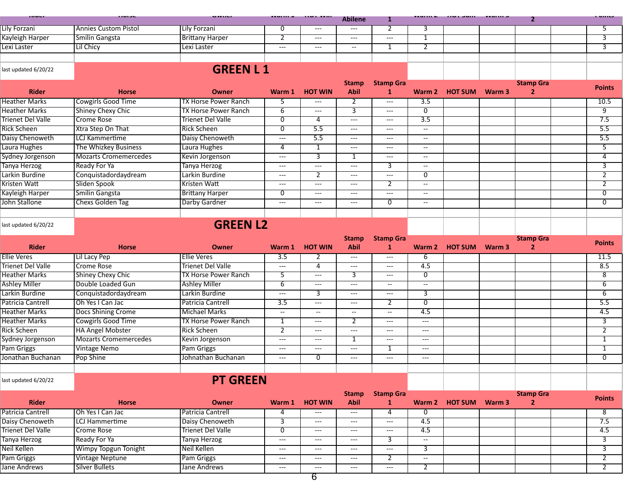| <b><i><u>Property</u></i></b>   | .                                |                                             | .                                        | .                                        | <b>Abilene</b>                           | 1                                        |                                          |                       |        | $\mathbf{2}$                       |                  |
|---------------------------------|----------------------------------|---------------------------------------------|------------------------------------------|------------------------------------------|------------------------------------------|------------------------------------------|------------------------------------------|-----------------------|--------|------------------------------------|------------------|
| <b>Lily Forzani</b>             | <b>Annies Custom Pistol</b>      | Lily Forzani                                | 0                                        | $---$                                    | $\hspace{0.05cm} \ldots$                 | $\overline{2}$                           | 3                                        |                       |        |                                    | 5                |
| <b>Kayleigh Harper</b>          | Smilin Gangsta                   | <b>Brittany Harper</b>                      | $\overline{2}$                           | ---                                      | $\hspace{0.05cm} \dashrightarrow$        | $\qquad \qquad - -$                      | 1                                        |                       |        |                                    | 3                |
| Lexi Laster                     | Lil Chicy                        | Lexi Laster                                 | $---$                                    | $---$                                    | $\overline{\phantom{a}}$                 | 1                                        | $\overline{2}$                           |                       |        |                                    | 3                |
|                                 |                                  |                                             |                                          |                                          |                                          |                                          |                                          |                       |        |                                    |                  |
| last updated 6/20/22            |                                  | <b>GREEN L1</b>                             |                                          |                                          |                                          |                                          |                                          |                       |        |                                    |                  |
|                                 |                                  |                                             |                                          |                                          | <b>Stamp</b>                             | <b>Stamp Gra</b>                         |                                          |                       |        | <b>Stamp Gra</b>                   | <b>Points</b>    |
| <b>Rider</b>                    | <b>Horse</b>                     | <b>Owner</b>                                | Warm 1                                   | <b>HOT WIN</b>                           | <b>Abil</b>                              | $\mathbf{1}$                             | Warm 2                                   | <b>HOT SUM</b>        | Warm 3 | $\overline{2}$                     |                  |
| <b>Heather Marks</b>            | <b>Cowgirls Good Time</b>        | <b>TX Horse Power Ranch</b>                 | 5                                        | $---$                                    | 2                                        | $\qquad \qquad - -$                      | $\overline{3.5}$                         |                       |        |                                    | 10.5             |
| <b>Heather Marks</b>            | <b>Shiney Chexy Chic</b>         | <b>TX Horse Power Ranch</b>                 | 6                                        | $\hspace{0.05cm}---\hspace{0.05cm}$      | 3                                        | $---$                                    | $\overline{0}$                           |                       |        |                                    | 9                |
| <b>Trienet Del Valle</b>        | <b>Crome Rose</b>                | <b>Trienet Del Valle</b>                    | 0                                        | 4                                        | $\hspace{0.05cm} \ldots \hspace{0.05cm}$ | $\qquad \qquad - -$                      | 3.5                                      |                       |        |                                    | 7.5              |
| <b>Rick Scheen</b>              | Xtra Step On That                | <b>Rick Scheen</b>                          | $\overline{0}$                           | $\overline{5.5}$                         | $\hspace{0.05cm} \ldots \hspace{0.05cm}$ | $\hspace{0.05cm} \ldots \hspace{0.05cm}$ | $\overline{\phantom{a}}$                 |                       |        |                                    | $\overline{5.5}$ |
| Daisy Chenoweth                 | <b>LCJ Kammertime</b>            | Daisy Chenoweth                             | $---$                                    | 5.5                                      | $\hspace{0.05cm}---$                     | $\qquad \qquad - -$                      | $\overline{\phantom{a}}$                 |                       |        |                                    | 5.5              |
| Laura Hughes                    | The Whizkey Business             | Laura Hughes                                | 4                                        | 1                                        | $\hspace{0.05cm} \dashrightarrow$        | $\qquad \qquad - -$                      | $\overline{\phantom{a}}$                 |                       |        |                                    | 5                |
| Sydney Jorgenson                | <b>Mozarts Cromemercedes</b>     | Kevin Jorgenson                             | $---$                                    | 3                                        | 1                                        | $\qquad \qquad - -$                      | $\overline{\phantom{a}}$                 |                       |        |                                    | 4                |
| Tanya Herzog                    | <b>Ready For Ya</b>              | Tanya Herzog                                | $---$                                    | ---                                      | $---$                                    | 3                                        | $\overline{\phantom{a}}$                 |                       |        |                                    | 3                |
| Larkin Burdine                  | Conquistadordaydream             | Larkin Burdine                              | $---$                                    | 2                                        | $---$                                    | $---$                                    | 0                                        |                       |        |                                    | $\overline{2}$   |
| Kristen Watt                    | Sliden Spook                     | <b>Kristen Watt</b>                         | $---$                                    | $---$                                    | $---$                                    | 2                                        | $- -$                                    |                       |        |                                    | $\overline{2}$   |
| Kayleigh Harper                 | Smilin Gangsta                   | <b>Brittany Harper</b>                      | 0                                        | $---$                                    | $\hspace{0.05cm} \ldots$                 | $\overline{\phantom{a}}$                 | $\overline{\phantom{a}}$                 |                       |        |                                    | 0                |
| John Stallone                   | <b>Chexs Golden Tag</b>          | Darby Gardner                               | $---$                                    | ---                                      | $\hspace{0.05cm} \ldots$                 | 0                                        | $\overline{\phantom{a}}$                 |                       |        |                                    | $\mathbf{0}$     |
|                                 |                                  |                                             |                                          |                                          |                                          |                                          |                                          |                       |        |                                    |                  |
| last updated 6/20/22            |                                  | <b>GREEN L2</b>                             |                                          |                                          |                                          |                                          |                                          |                       |        |                                    |                  |
|                                 |                                  |                                             |                                          |                                          | <b>Stamp</b>                             | <b>Stamp Gra</b>                         |                                          |                       |        | <b>Stamp Gra</b>                   |                  |
| <b>Rider</b>                    | <b>Horse</b>                     | <b>Owner</b>                                | Warm 1                                   | <b>HOT WIN</b>                           | <b>Abil</b>                              | 1                                        | Warm 2                                   | <b>HOT SUM</b>        | Warm 3 | $\overline{\mathbf{2}}$            | <b>Points</b>    |
| <b>Ellie Veres</b>              | Lil Lacy Pep                     | <b>Ellie Veres</b>                          | $\overline{3.5}$                         |                                          | $---$                                    | $---$                                    | 6                                        |                       |        |                                    | 11.5             |
| <b>Trienet Del Valle</b>        | <b>Crome Rose</b>                | <b>Trienet Del Valle</b>                    | $---$                                    | 4                                        | $\hspace{0.05cm} \ldots$                 | $\qquad \qquad - -$                      | 4.5                                      |                       |        |                                    | 8.5              |
| <b>Heather Marks</b>            | <b>Shiney Chexy Chic</b>         | <b>TX Horse Power Ranch</b>                 | 5                                        | ---                                      | 3                                        | $---$                                    | 0                                        |                       |        |                                    | 8                |
| <b>Ashley Miller</b>            | Double Loaded Gun                | <b>Ashley Miller</b>                        | $\overline{6}$                           | $---$                                    | $---$                                    | $\overline{\phantom{a}}$                 | $\overline{\phantom{a}}$                 |                       |        |                                    | $\overline{6}$   |
| Larkin Burdine                  | Conquistadordaydream             | Larkin Burdine                              | $---$                                    | 3                                        | $\hspace{0.05cm} \ldots \hspace{0.05cm}$ | $\hspace{0.05cm} \ldots \hspace{0.05cm}$ | 3                                        |                       |        |                                    | $\overline{6}$   |
| Patricia Cantrell               | Oh Yes I Can Jac                 | Patricia Cantrell                           | $\overline{3.5}$                         | $\hspace{0.05cm}---\hspace{0.05cm}$      | $\hspace{0.05cm} \ldots$                 | 2                                        | $\overline{0}$                           |                       |        |                                    | 5.5              |
| <b>Heather Marks</b>            | Docs Shining Crome               | <b>Michael Marks</b>                        | $\overline{\phantom{a}}$                 | $\overline{\phantom{a}}$                 | $\overline{\phantom{a}}$                 | $\overline{\phantom{a}}$                 | 4.5                                      |                       |        |                                    | 4.5              |
| <b>Heather Marks</b>            | <b>Cowgirls Good Time</b>        | <b>TX Horse Power Ranch</b>                 | 1                                        | $\hspace{0.05cm}---\hspace{0.05cm}$      | 2                                        | $\qquad \qquad - -$                      | $---$                                    |                       |        |                                    | 3                |
| <b>Rick Scheen</b>              | <b>HA Angel Mobster</b>          | <b>Rick Scheen</b>                          | $\overline{2}$                           | $\hspace{0.05cm}---\hspace{0.05cm}$      | $\hspace{0.05cm} \ldots$                 | $---$                                    | $---$                                    |                       |        |                                    | $\overline{2}$   |
|                                 |                                  |                                             |                                          |                                          |                                          |                                          |                                          |                       |        |                                    |                  |
|                                 | <b>Mozarts Cromemercedes</b>     |                                             | $---$                                    | $---$                                    | 1                                        | $--$                                     | $\hspace{0.05cm} \ldots \hspace{0.05cm}$ |                       |        |                                    | 1                |
| Sydney Jorgenson                |                                  | Kevin Jorgenson                             | $---$                                    | $---$                                    | $\hspace{0.05cm} \ldots$                 | 1                                        | $---$                                    |                       |        |                                    | $\overline{1}$   |
| Pam Griggs<br>Jonathan Buchanan | <b>Vintage Nemo</b><br>Pop Shine | <b>Pam Griggs</b><br>Johnathan Buchanan     | $\hspace{0.05cm} \ldots \hspace{0.05cm}$ | 0                                        | $---$                                    | $---$                                    | $\qquad \qquad - -$                      |                       |        |                                    | ᠦ                |
|                                 |                                  |                                             |                                          |                                          |                                          |                                          |                                          |                       |        |                                    |                  |
| last updated 6/20/22            |                                  |                                             |                                          |                                          |                                          |                                          |                                          |                       |        |                                    |                  |
|                                 |                                  | <b>PT GREEN</b>                             |                                          |                                          |                                          |                                          |                                          |                       |        |                                    |                  |
| Rider                           | <b>Horse</b>                     | <b>Owner</b>                                |                                          | Warm 1 HOT WIN                           | <b>Stamp</b><br><b>Abil</b>              | <b>Stamp Gra</b><br>$\mathbf{1}$         |                                          | Warm 2 HOT SUM Warm 3 |        | <b>Stamp Gra</b><br>$\overline{2}$ | <b>Points</b>    |
| <b>Patricia Cantrell</b>        | Oh Yes I Can Jac                 | Patricia Cantrell                           | 4                                        | ---                                      | $\hspace{0.05cm}---$                     | 4                                        | 0                                        |                       |        |                                    | 8                |
| Daisy Chenoweth                 | <b>LCJ Hammertime</b>            | Daisy Chenoweth<br><b>Trienet Del Valle</b> | 3                                        | $\hspace{0.05cm} \ldots \hspace{0.05cm}$ | $\hspace{0.05cm}---$                     | $--$                                     | 4.5                                      |                       |        |                                    | 7.5              |

Tanya Herzog Ready For Ya Tanya Herzog --- --- --- 3 -- 3 Neil Kellen Mimpy Topgun Tonight Neil Kellen --- --- --- --- --- 3 3<br>Pam Griggs Vintage Neptune Pam Griggs --- -- -- -- 2 -- 1 Pam Griggs Vintage Neptune Pam Griggs --- --- --- 2 -- 2 Jane Andrews Silver Bullets Jane Andrews --- --- --- --- 2 2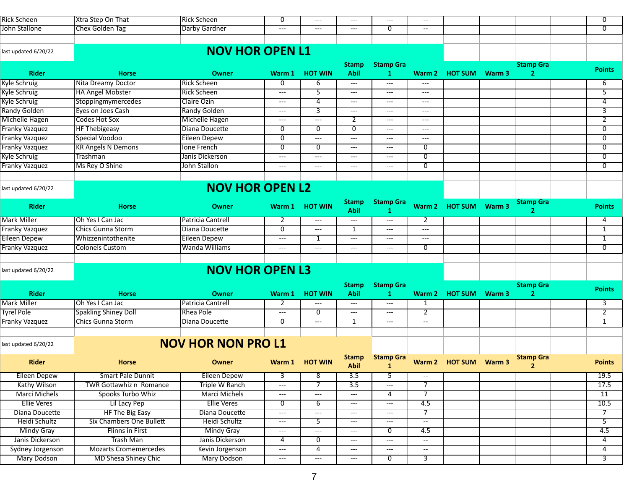| <b>Rick Scheen</b>    | Xtra Step On That              | <b>Rick Scheen</b>        | $\overline{0}$                           | $---$                               | $---$                                    | $---$                                    | $\overline{\phantom{a}}$ |                       |        |                  | $\overline{0}$ |
|-----------------------|--------------------------------|---------------------------|------------------------------------------|-------------------------------------|------------------------------------------|------------------------------------------|--------------------------|-----------------------|--------|------------------|----------------|
| John Stallone         | <b>Chex Golden Tag</b>         | Darby Gardner             | $---$                                    | $---$                               | $---$                                    | $\overline{0}$                           | $\overline{\phantom{a}}$ |                       |        |                  | $\overline{0}$ |
|                       |                                |                           |                                          |                                     |                                          |                                          |                          |                       |        |                  |                |
| last updated 6/20/22  |                                | <b>NOV HOR OPEN L1</b>    |                                          |                                     |                                          |                                          |                          |                       |        |                  |                |
|                       |                                |                           |                                          |                                     | <b>Stamp</b>                             | <b>Stamp Gra</b>                         |                          |                       |        | <b>Stamp Gra</b> |                |
| <b>Rider</b>          | <b>Horse</b>                   | <b>Owner</b>              | Warm 1                                   | <b>HOT WIN</b>                      | <b>Abil</b>                              | 1                                        | Warm 2                   | <b>HOT SUM Warm 3</b> |        | $\overline{2}$   | <b>Points</b>  |
| <b>Kyle Schruig</b>   | Nita Dreamy Doctor             | <b>Rick Scheen</b>        | $\overline{0}$                           | $\overline{6}$                      | $\hspace{0.05cm} \ldots \hspace{0.05cm}$ | $---$                                    | $---$                    |                       |        |                  | 6              |
| <b>Kyle Schruig</b>   | <b>HA Angel Mobster</b>        | <b>Rick Scheen</b>        | $\hspace{0.05cm}---\hspace{0.05cm}$      | 5                                   | $\hspace{0.05cm} \ldots \hspace{0.05cm}$ | $---$                                    | ---                      |                       |        |                  | $\overline{5}$ |
| Kyle Schruig          | Stoppingmymercedes             | Claire Ozin               | $---$                                    | 4                                   | $\hspace{0.05cm} \dashrightarrow$        | $---$                                    | ---                      |                       |        |                  | 4              |
| <b>Randy Golden</b>   | Eyes on Joes Cash              | <b>Randy Golden</b>       | $---$                                    | 3                                   | $\hspace{0.05cm} \ldots$                 | $\hspace{0.05cm}---\hspace{0.05cm}$      | ---                      |                       |        |                  | 3              |
| <b>Michelle Hagen</b> | Codes Hot Sox                  | <b>Michelle Hagen</b>     | $---$                                    | $---$                               | 2                                        | $---$                                    | ---                      |                       |        |                  | $\overline{2}$ |
| <b>Franky Vazquez</b> | <b>HF Thebigeasy</b>           | Diana Doucette            | 0                                        | $\overline{0}$                      | $\overline{\mathfrak{o}}$                | $\hspace{0.05cm}---\hspace{0.05cm}$      | ---                      |                       |        |                  | $\overline{0}$ |
| <b>Franky Vazquez</b> | Special Voodoo                 | <b>Eileen Depew</b>       | $\overline{0}$                           | $\hspace{0.05cm} \ldots$            | $\hspace{0.05cm} \ldots$                 | $---$                                    | $---$                    |                       |        |                  | $\overline{0}$ |
| <b>Franky Vazquez</b> | <b>KR Angels N Demons</b>      | Ione French               | 0                                        | 0                                   | $\hspace{0.05cm} \ldots \hspace{0.05cm}$ | $\hspace{0.05cm} \ldots \hspace{0.05cm}$ | $\overline{0}$           |                       |        |                  | $\overline{0}$ |
| <b>Kyle Schruig</b>   | Trashman                       | Janis Dickerson           | $\hspace{0.05cm} \ldots \hspace{0.05cm}$ | $\qquad \qquad - -$                 | $\hspace{0.05cm} \dashrightarrow$        | $\hspace{0.05cm}---\hspace{0.05cm}$      | 0                        |                       |        |                  | 0              |
| <b>Franky Vazquez</b> | Ms Rey O Shine                 | John Stallon              | $---$                                    | $---$                               | $---$                                    | $---$                                    | $\overline{0}$           |                       |        |                  | $\overline{0}$ |
|                       |                                |                           |                                          |                                     |                                          |                                          |                          |                       |        |                  |                |
| last updated 6/20/22  |                                | <b>NOV HOR OPEN L2</b>    |                                          |                                     |                                          |                                          |                          |                       |        |                  |                |
|                       |                                |                           |                                          |                                     | <b>Stamp</b>                             | <b>Stamp Gra</b>                         |                          |                       |        | <b>Stamp Gra</b> |                |
| <b>Rider</b>          | <b>Horse</b>                   | <b>Owner</b>              | Warm 1                                   | <b>HOT WIN</b>                      | <b>Abil</b>                              | -1                                       | Warm 2                   | <b>HOT SUM</b>        | Warm 3 | $\overline{2}$   | <b>Points</b>  |
| <b>Mark Miller</b>    | Oh Yes I Can Jac               | Patricia Cantrell         | 2                                        | $\hspace{0.05cm}---\hspace{0.05cm}$ | $---$                                    | $---$                                    | 2                        |                       |        |                  | 4              |
| Franky Vazquez        | <b>Chics Gunna Storm</b>       | Diana Doucette            | 0                                        | $\hspace{0.05cm}---\hspace{0.05cm}$ | 1                                        | $---$                                    | ---                      |                       |        |                  | $\mathbf{1}$   |
| <b>Eileen Depew</b>   | Whizzenintothenite             | Eileen Depew              | $---$                                    | 1                                   | $\hspace{0.05cm} \dashrightarrow$        | $---$                                    | $---$                    |                       |        |                  | $\mathbf{1}$   |
| <b>Franky Vazquez</b> | <b>Colonels Custom</b>         | Wanda Williams            | $\hspace{0.05cm}---\hspace{0.05cm}$      | $---$                               | $\hspace{0.05cm} \ldots \hspace{0.05cm}$ | $\hspace{0.05cm} \ldots \hspace{0.05cm}$ | $\overline{0}$           |                       |        |                  | $\overline{0}$ |
|                       |                                |                           |                                          |                                     |                                          |                                          |                          |                       |        |                  |                |
| last updated 6/20/22  |                                | <b>NOV HOR OPEN L3</b>    |                                          |                                     |                                          |                                          |                          |                       |        |                  |                |
|                       |                                |                           |                                          |                                     | <b>Stamp</b>                             | <b>Stamp Gra</b>                         |                          |                       |        | <b>Stamp Gra</b> |                |
| <b>Rider</b>          | <b>Horse</b>                   | <b>Owner</b>              | Warm 1                                   | <b>HOT WIN</b>                      | <b>Abil</b>                              | 1                                        | Warm 2                   | <b>HOT SUM</b>        | Warm 3 |                  | <b>Points</b>  |
| <b>Mark Miller</b>    | Oh Yes I Can Jac               | Patricia Cantrell         | 2                                        | $\hspace{0.05cm}---\hspace{0.05cm}$ | $\hspace{0.05cm} \ldots \hspace{0.05cm}$ | ---                                      | 1                        |                       |        |                  | 3              |
| <b>Tyrel Pole</b>     | <b>Spakling Shiney Doll</b>    | Rhea Pole                 | $\qquad \qquad - -$                      | 0                                   | $\hspace{0.05cm} \ldots \hspace{0.05cm}$ | $\hspace{0.05cm} \ldots \hspace{0.05cm}$ | $\overline{2}$           |                       |        |                  | $\overline{2}$ |
| Franky Vazquez        | <b>Chics Gunna Storm</b>       | Diana Doucette            | 0                                        | $---$                               | 1                                        | $---$                                    | $\overline{\phantom{a}}$ |                       |        |                  | $\mathbf{1}$   |
|                       |                                |                           |                                          |                                     |                                          |                                          |                          |                       |        |                  |                |
| last updated 6/20/22  |                                | <b>NOV HOR NON PRO L1</b> |                                          |                                     |                                          |                                          |                          |                       |        |                  |                |
| <b>Rider</b>          | <b>Horse</b>                   | Owner                     |                                          | Warm 1 HOT WIN                      | Stamp<br><b>Abil</b>                     | <b>Stamp Gra</b><br>$\mathbf{1}$         |                          | Warm 2 HOT SUM Warm 3 |        | <b>Stamp Gra</b> | <b>Points</b>  |
| <b>Eileen Depew</b>   | Smart Pale Dunnit              | <b>Eileen Depew</b>       | $\overline{3}$                           | $\overline{\mathbf{8}}$             | $\overline{3.5}$                         | 5                                        | $\overline{\phantom{a}}$ |                       |        |                  | 19.5           |
| Kathy Wilson          | <b>TWR Gottawhiz n Romance</b> | <b>Triple W Ranch</b>     | $\hspace{0.05cm}---$                     | $\overline{7}$                      | 3.5                                      | $---$                                    | $\overline{7}$           |                       |        |                  | 17.5           |
| <b>Marci Michels</b>  | Spooks Turbo Whiz              | Marci Michels             | $\hspace{0.05cm}---\hspace{0.05cm}$      | $\scriptstyle\cdots$                | $---$                                    | $\overline{a}$                           | $\overline{7}$           |                       |        |                  | 11             |
| <b>Ellie Veres</b>    | Lil Lacy Pep                   | <b>Ellie Veres</b>        | $\overline{0}$                           | $\overline{6}$                      | $\hspace{0.05cm} \dashrightarrow$        | $\qquad \qquad - -$                      | 4.5                      |                       |        |                  | 10.5           |
| Diana Doucette        | <b>HF The Big Easy</b>         | Diana Doucette            | $\hspace{0.05cm}---$                     | $\scriptstyle\cdots$                | $\hspace{0.05cm} \ldots \hspace{0.05cm}$ | $---$                                    | $\overline{7}$           |                       |        |                  | $\overline{7}$ |
| Heidi Schultz         | Six Chambers One Bullett       | Heidi Schultz             | $\hspace{0.05cm}---$                     | 5 <sup>2</sup>                      | $\scriptstyle\cdots$                     | $---$                                    | $\overline{\phantom{a}}$ |                       |        |                  | $\overline{5}$ |
| <b>Mindy Gray</b>     | Flinns in First                | <b>Mindy Gray</b>         | $---$                                    | $\hspace{0.05cm} \ldots$            | $\hspace{0.05cm} \dashrightarrow$        | 0                                        | 4.5                      |                       |        |                  | 4.5            |
| Janis Dickerson       | <b>Trash Man</b>               | Janis Dickerson           | 4                                        | $\overline{0}$                      | $\hspace{0.05cm} \dashrightarrow$        | $---$                                    | $\overline{\phantom{a}}$ |                       |        |                  | 4              |
| Sydney Jorgenson      | <b>Mozarts Cromemercedes</b>   | Kevin Jorgenson           | $\hspace{0.05cm}---$                     | $\overline{4}$                      | $\hspace{0.05cm} \dashrightarrow$        | $\qquad \qquad \cdots$                   | $\overline{\phantom{a}}$ |                       |        |                  | 4              |
| <b>Mary Dodson</b>    | MD Shesa Shiney Chic           | <b>Mary Dodson</b>        | $---$                                    | $\hspace{0.05cm}---$                | $\hspace{0.05cm} \ldots$                 | $\overline{0}$                           | $\overline{3}$           |                       |        |                  | $\overline{3}$ |